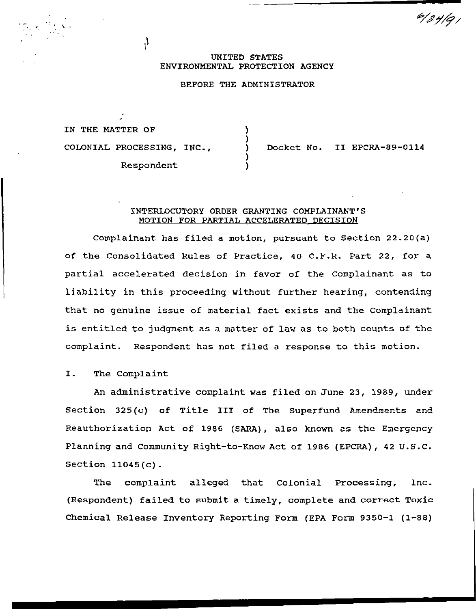#### UNITED STATES ENVIRONMENTAL PROTECTION AGENCY

# BEFORE THE ADMINISTRATOR

) ) ) ) )

IN THE MATTER OF COLONIAL PROCESSING, INC., Respondent

 $\mathcal{A}$ 

...

Docket No. II EPCRA-89-0114

 $\frac{6}{3}$ y/q

### INTERLOCUTORY ORDER GRANTING COMPLAINANT'S MOTION FOR PARTIAL ACCELERATED DECISION

Complainant has filed a motion, pursuant to Section 22.20(a) of the Consolidated Rules of Practice, 40 C.F.R. Part 22, for a partial accelerated decision in favor of the Complainant as to liability in this proceeding without further hearing, contending that no genuine issue of material fact exists and the complainant is entitled to judgment as a matter of law as to both counts of the complaint. Respondent has not filed a response to this motion.

## I. The Complaint

An administrative complaint was filed on June 23, 1989, under Section 325(c) of Title III of The Superfund Amendments and Reauthorization Act of 1986 (SARA), also known as the Emergency Planning and Community Right-to-Know Act of 1986 (EPCRA) *1* 42 U.S.C. Section 11045(c).

The complaint alleged that Colonial Processing, Inc. (Respondent) failed to submit a timely, complete and correct Toxic Chemical Release Inventory Reporting Form (EPA Form 9350-1 (1-88)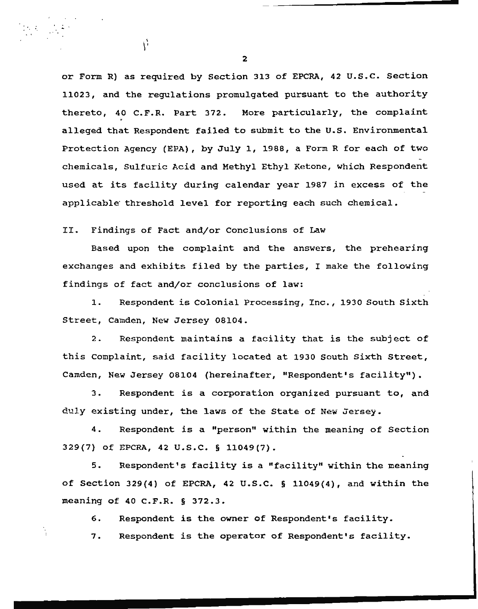or Form R) as required by Section 313 of EPCRA, 42 u.s.c. Section 11023, and the regulations promulgated pursuant to the authority thereto, 40 C.F.R. Part 372. More particularly, the complaint alleged that Respondent failed to submit to the U.S. Environmental Protection Agency (EPA), by July 1, 1988, a Form R for each of two chemicals, Sulfuric Acid and Methyl Ethyl Ketone, which Respondent used at its facility during calendar year 1987 in excess of the applicable threshold level for reporting each such chemical.

II. Findings of Fact and/or Conclusions of Law

 $\chi^{\prime}$ 

Based upon the complaint and the answers, the prehearing exchanges and exhibits filed by the parties, I make the following findings of fact and/or conclusions of law:

1. Respondent is Colonial Processing, Inc., 1930 South Sixth Street, Camden, New Jersey 08104.

2. Respondent maintains a facility that is the subject of this complaint, said facility located at 1930 South Sixth Street, Camden, New Jersey 08104 (hereinafter, "Respondent's facility").

3. Respondent is a corporation organized pursuant to, and duly existing under, the laws of the State of New Jersey.

4. Respondent is a "person" within the meaning of Section 329(7) of EPCRA, 42 U.S.C. § 11049(7).

5. Respondent's facility is a "facility" within the meaning of Section 329(4) of EPCRA, 42 U.S.c. § 11049(4), and within the meaning of 40 C.F.R. § 372.3.

6. Respondent is the owner of Respondent•s facility.

7. Respondent is the operator of Respondent's facility.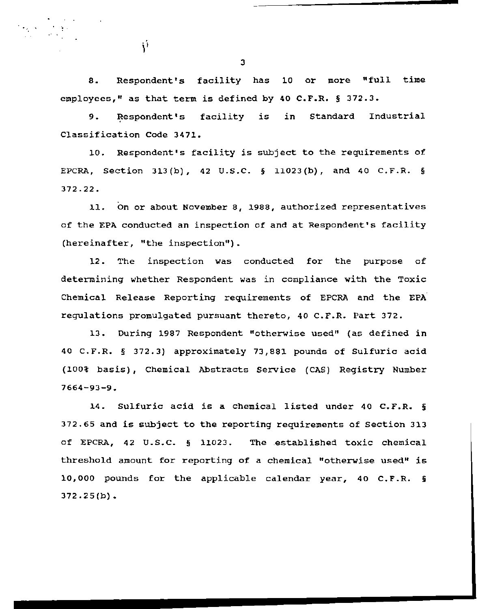8. Respondent's facility has 10 or more "full time employees," as that term is defined by 40 C.F.R. § 372.3.

9. Respondent's facility is in Standard Industrial Classification Code 3471.

10. Respondent's facility is subject to the requirements of EPCRA, Section 313(b), 42 U.S.C. § 11023(b), and 40 C.F.R. § 372.22.

11. On or about November 8, 1988, authorized representatives of the EPA conducted an inspection of and at Respondent's facility (hereinafter, "the inspection").

12. The inspection was conducted for the purpose of determining whether Respondent was in compliance with the Toxic Chemical Release Reporting requirements of EPCRA and the EPA regulations promulgated pursuant thereto, 40 C.F.R. Part 372.

13. During 1987 Respondent "otherwise used" (as defined in 40 C.F.R. § 372.3} approximately 73,881 pounds of Sulfuric acid (100% basis), Chemical Abstracts Service (CAS) Registry Number 7664-93-9.

14. Sulfuric acid is a chemical listed under 40 c.F.R. § 372.65 and is subject to the reporting requirements of Section 313 of EPCRA, 42 U.S.C. § 11023. The established toxic chemical threshold amount for reporting of a chemical "otherwise used" is 10,000 pounds for the applicable calendar year, 40 C.F.R. § 372.25(b).

3

Ý

 $\mathbf{v}^{\prime}$  ,  $\mathbf{v}^{\prime}$  ,  $\mathbf{v}^{\prime}$  ,  $\mathbf{v}^{\prime}$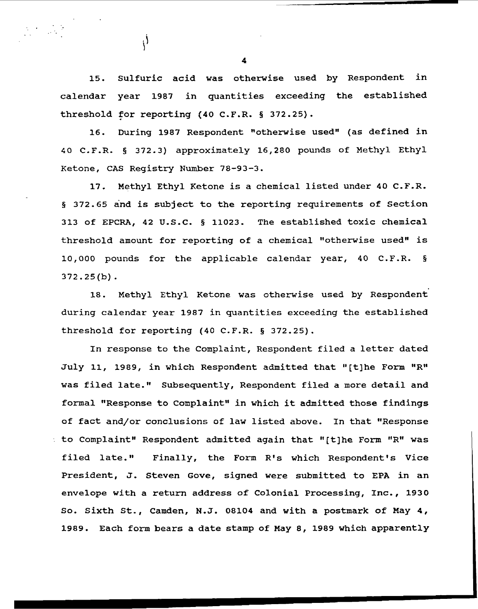15. Sulfuric acid was otherwise used by Respondent in calendar year 1987 in quantities exceeding the established threshold for reporting (40 C.F.R. § 372.25).

16. During 1987 Respondent "otherwise used" (as defined in 40 C.F.R. § 372.3) approximately 16,280 pounds of Methyl Ethyl Ketone, CAS Registry Number 78-93-3.

17. Methyl Ethyl Ketone is a chemical listed under 40 C.F.R. § 372.65 and is subject to the reporting requirements of Section 313 of EPCRA, 42 U.S.C. § 11023. The established toxic chemical threshold amount for reporting of a chemical "otherwise used" is 10,000 pounds for the applicable calendar year, 40 C.F.R. § 372.25(b).

18. Methyl Ethyl Ketone was otherwise used by Respondent during calendar year 1987 in quantities exceeding the established threshold for reporting (40 C.F.R. § 372.25).

In response to the Complaint, Respondent filed a letter dated July 11, 1989, in which Respondent admitted that "[t]he Form "R" was filed late." Subsequently, Respondent filed a more detail and formal "Response to Complaint" in which it admitted those findings of fact and/or conclusions of law listed above. In that "Response to Complaint" Respondent admitted again that "(t]he Form "R" was filed late." Finally, the Form R's which Respondent's Vice President, J. Steven Gove, signed were submitted to EPA in an envelope with a return address of Colonial Processing, Inc., 1930 So. Sixth St., Camden, N.J. 08104 and with a postmark of May 4, 1989. Each form bears a date stamp of May 8, 1989 which apparently

4

 $\mathcal{S}^{\mathcal{S}}$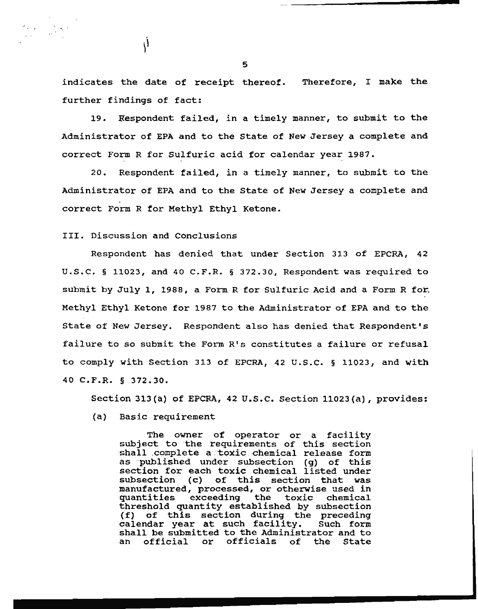indicates the date of receipt thereof. Therefore, I make the further findings of fact:

19. Respondent failed, in a timely manner, to submit to the Administrator of EPA and to the state of New Jersey a complete and correct Form R for Sulfuric acid for calendar year 1987.

20. Respondent failed, in a timely manner, to submit to the Administrator of EPA and to the State of New Jersey a complete and correct Form R for Methyl Ethyl Ketone.

III. Discussion and Conclusions

 $\mathcal{N}$ 

·.

Respondent has denied that under Section 313 of EPCRA, 42 u.s.c. § 11023, and 40 c.F.R. § 372.30, Respondent was required to submit by July 1, 1988, a Form R for Sulfuric Acid and a Form R for. Methyl Ethyl Ketone for 1987 to the Administrator of EPA and to the State of New Jersey. Respondent also has denied that Respondent's failure to so submit the Form R's constitutes a failure or refusal to comply with Section 313 of EPCRA, 42 u.s.c. § 11023, and with 40 C.F.R. § 372.30.

Section 313(a) of EPCRA, 42 u.s.c. Section 11023(a), provides:

(a) Basic requirement

The owner of operator or a facility subject to the requirements of this section shall complete a toxic chemical release form as published under subsection (g) of this section for each toxic chemical listed under<br>subsection (c) of this section that was of this section that was ~anufactured, processed, or otherwise used in manufactured, processed, or otherwise used in<br>quantities exceeding the toxic chemical threshold quantity established by subsection (f) of this section during the preceding calendar year at such facility. Such form shall be submitted to the Administrator and to<br>an official or officials of the State official or officials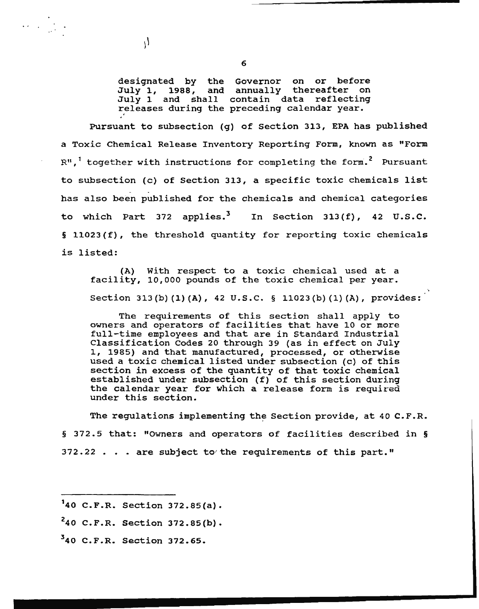designated by the Governor on or before July 1, 1988, and annually thereafter on July 1 and shall contain data reflecting releases during the preceding calendar year.

Pursuant to subsection (g) of Section 313, EPA has published a Toxic Chemical Release Inventory Reporting Form, known as "Form  $R^{11}$ , together with instructions for completing the form.<sup>2</sup> Pursuant to subsection (c) of Section 313, a specific toxic chemicals list has also been published for the chemicals and chemical categories to which Part 372 applies.<sup>3</sup> In Section 313(f), 42 U.S.C. § 11023(f), the threshold quantity for reporting toxic chemicals is listed:

(A) With respect to a toxic chemical used at a facility, 10,000 pounds of the toxic chemical per year. Section 313(b) (1)(A), 42 U.S.C. § 11023(b)(1)(A), provides:

The requirements of this section shall apply to owners and operators of facilities that have 10 or more full-time employees and that are in Standard Industrial Classification Codes 20 through 39 (as in effect on July 1, 1985) and that manufactured, processed, or otherwise used a toxic chemical listed under subsection (c) of this section in excess of the quantity of that toxic chemical established under subsection (f) of this section during the calendar year for which a release form is required under this section.

The regulations implementing the Section provide, at 40 C.F.R. § 372.5 that: "Owners and operators of facilities described in §  $372.22$   $\ldots$  are subject to the requirements of this part."

A.

.  $\mathbb{R}^{\mathbb{Z}_2}$ 

<sup>1</sup> 40 C.F.R. Section 372.85(a).

 $^{2}40$  C.F.R. Section 372.85(b).

 $340$  C.F.R. Section 372.65.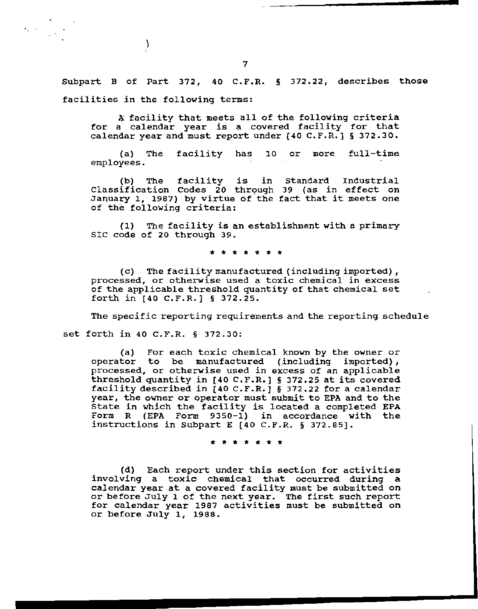Subpart B of Part 372, 40 C.F.R. § 372.22, describes those facilities in the following terms:

A facility that meets all of the following criteria for a calendar year is a covered facility for that calendar year and must report under (40 C.F.R.) § 372.30.

(a} The facility has 10 or more full-time employees.

(b) The facility is in Classification Codes 20 through 39 (as in effect on Classification Codes 20 through 39 (as in effect on<br>January 1, 1987) by virtue of the fact that it meets one of the following criteria: Standard Industrial

{l) The facility is an establishment with a primary SIC code of 20 through 39.

\* \* \* \* \* \* \*

(c) The facility manufactured (including imported), processed, or otherwise used a toxic chemical in excess of the applicable threshold quantity of that chemical set forth in [40 c.F.R.] § 372.25.

The specific reporting requirements and the reporting schedule

set forth in 40 C.P.R. § 372.30:

 $\mathcal{E}$ 

..

(a) For each toxic chemical known by the owner or operator to be manufactured (including imported), processed, or otherwise used in excess of an applicable threshold quantity in (40 C.F.R.] § 372.25 at its covered facility described in [40 C.F.R.] § 372.22 for a calendar year, the owner or operator must submit to EPA and to the State in which the facility is located a completed EPA Form R (EPA Form 9350-1) in accordance with the instructions in Subpart E (40 C.F.R. § 372.85].

\* \* \* \* \* \* \*

(d) Each report under this section for activities involving a toxic chemical that occurred during a calendar year at a covered facility must be submitted on calendar year at a covered racifity must be submitted on<br>or before July 1 of the next year. The first such report for calendar year 1987 activities must be submitted on or before July 1, 1988.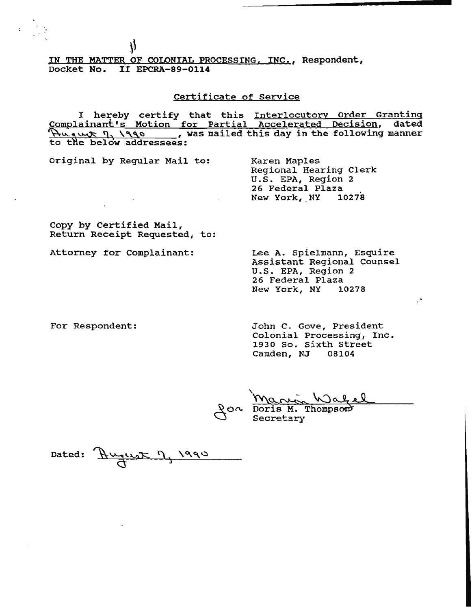IN THE MATTER OF COLONIAL PROCESSING, INC., Respondent, Docket No. II EPCRA-89-0114

## Certificate of Service

I hereby certify that this Interlocutory Order Granting Complainant's Motion for Partial Accelerated Decision, dated<br>'Hugut !, '990 \_\_\_, was mailed this day in the following manner Hugut 1, 1990, was mailed this day in the following manner to the below addressees:

original by Regular Mail to:

 $\mathcal{N}$ 

Karen Maples Regional Hearing Clerk U.S. EPA, Region 2 New York, NY 10278

Copy by Certified Mail, Return Receipt Requested, to:

Attorney for Complainant:

Lee A. Spielmann, Esquire Assistant Regional Counsel U.S. EPA, Region 2 26 Federal Plaza New York, NY 10278

·.

For Respondent:

John C. Gove, President Colonial Processing, Inc. 1930 So. Sixth street Camden, NJ 08104

Warren Wahel<br>Doris M. Thompson

Dated:  $\frac{H_{\text{U}}}{H_{\text{U}}}}$ , 1990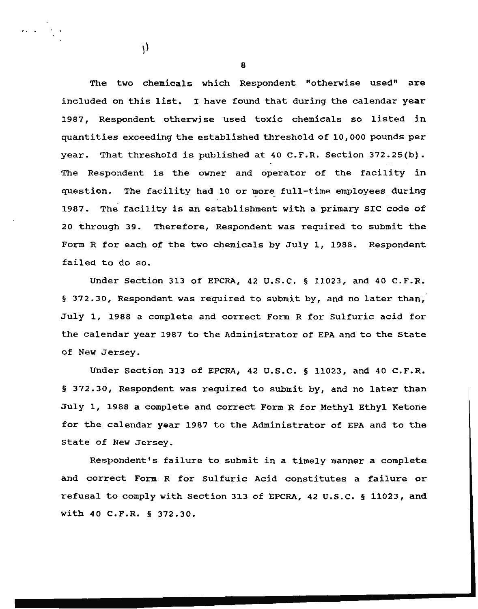The two chemicals which Respondent "otherwise used" are included on this list. I have found that during the calendar year 1987, Respondent otherwise used toxic chemicals so listed in quantities exceeding the established threshold of 10, ooo pounds per year. That threshold is published at 40 C.F.R. Section 372.25(b). The Respondent is the owner and operator of the facility in question. The facility had 10 or more full-time employees during 1987. The facility is an establishment with a primary SIC code of 20 through 39. Therefore, Respondent was required to submit the Form R for each of the two chemicals by July 1, 1988. Respondent failed to do so.

Under Section 313 of EPCRA, 42 U.S.C. § 11023, and 40 C.F.R. § 372.30, Respondent was required to submit by, and no later than, July 1, 1988 a complete and correct Form R for Sulfuric acid for the calendar year 1987 to the Administrator of EPA and to the State of New Jersey.

Under Section 313 of EPCRA, 42 u.s.c. § 11023, and 40 c.F.R. § 372.30, Respondent was required to submit by, and no later than July 1, 1988 a complete and correct Form R for Methyl Ethyl Ketone for the calendar year 1987 to the Administrator of EPA and to the State of New Jersey.

Respondent's failure to submit in a timely manner a complete and correct Form R for Sulfuric Acid constitutes a failure or refusal to comply with Section 313 of EPCRA, 42 u.s.c. § 11023, and with 40 C.F.R. § 372.30.

8

 $\mathcal{N}$